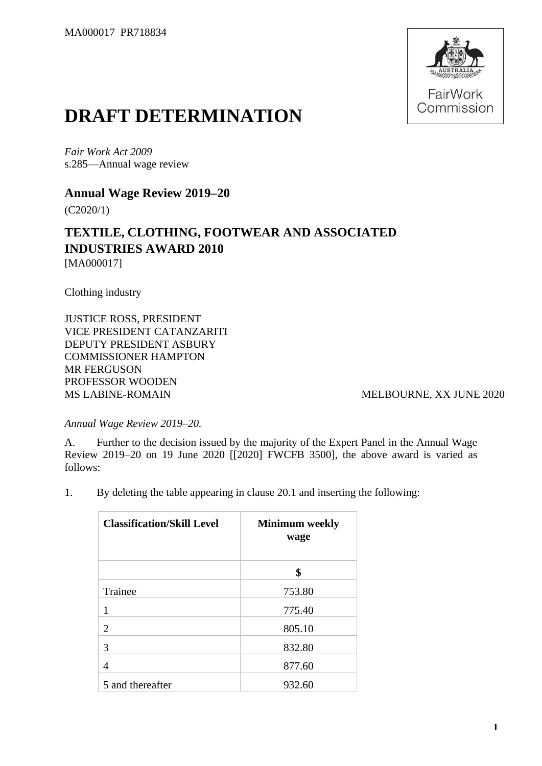

## **DRAFT DETERMINATION**

*Fair Work Act 2009* s.285—Annual wage review

**Annual Wage Review 2019–20**

(C2020/1)

## **TEXTILE, CLOTHING, FOOTWEAR AND ASSOCIATED INDUSTRIES AWARD 2010** [MA000017]

Clothing industry

JUSTICE ROSS, PRESIDENT VICE PRESIDENT CATANZARITI DEPUTY PRESIDENT ASBURY COMMISSIONER HAMPTON MR FERGUSON PROFESSOR WOODEN MS LABINE-ROMAIN MELBOURNE, XX JUNE 2020

*Annual Wage Review 2019–20.*

A. Further to the decision issued by the majority of the Expert Panel in the Annual Wage Review 2019–20 on 19 June 2020 [[2020] FWCFB 3500], the above award is varied as follows:

1. By deleting the table appearing in clause 20.1 and inserting the following:

| <b>Classification/Skill Level</b> | <b>Minimum</b> weekly<br>wage |
|-----------------------------------|-------------------------------|
|                                   | \$                            |
| Trainee                           | 753.80                        |
| 1                                 | 775.40                        |
| 2                                 | 805.10                        |
| 3                                 | 832.80                        |
| 4                                 | 877.60                        |
| 5 and thereafter                  | 932.60                        |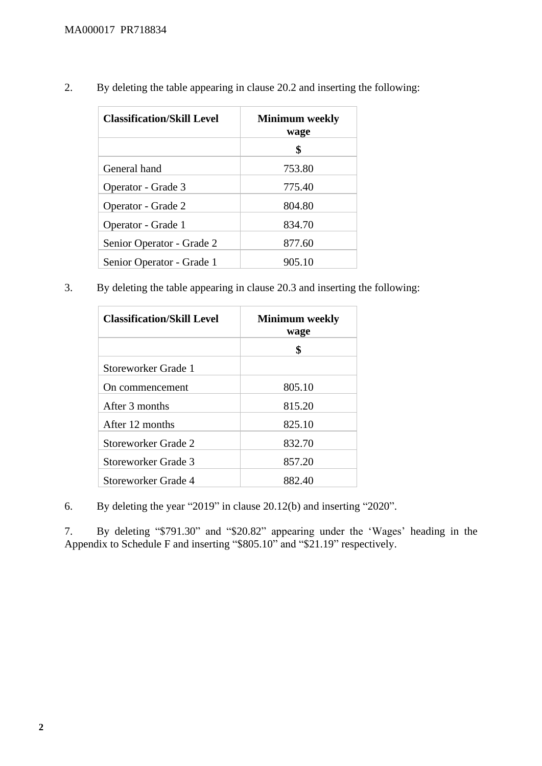| <b>Classification/Skill Level</b> | <b>Minimum</b> weekly<br>wage |
|-----------------------------------|-------------------------------|
|                                   | \$                            |
| General hand                      | 753.80                        |
| Operator - Grade 3                | 775.40                        |
| Operator - Grade 2                | 804.80                        |
| Operator - Grade 1                | 834.70                        |
| Senior Operator - Grade 2         | 877.60                        |
| Senior Operator - Grade 1         | 905.10                        |

2. By deleting the table appearing in clause 20.2 and inserting the following:

3. By deleting the table appearing in clause 20.3 and inserting the following:

| <b>Classification/Skill Level</b> | <b>Minimum</b> weekly<br>wage |
|-----------------------------------|-------------------------------|
|                                   | \$                            |
| Storeworker Grade 1               |                               |
| On commencement                   | 805.10                        |
| After 3 months                    | 815.20                        |
| After 12 months                   | 825.10                        |
| Storeworker Grade 2               | 832.70                        |
| Storeworker Grade 3               | 857.20                        |
| Storeworker Grade 4               | 882.40                        |

6. By deleting the year "2019" in clause 20.12(b) and inserting "2020".

7. By deleting "\$791.30" and "\$20.82" appearing under the 'Wages' heading in the Appendix to Schedule F and inserting "\$805.10" and "\$21.19" respectively.